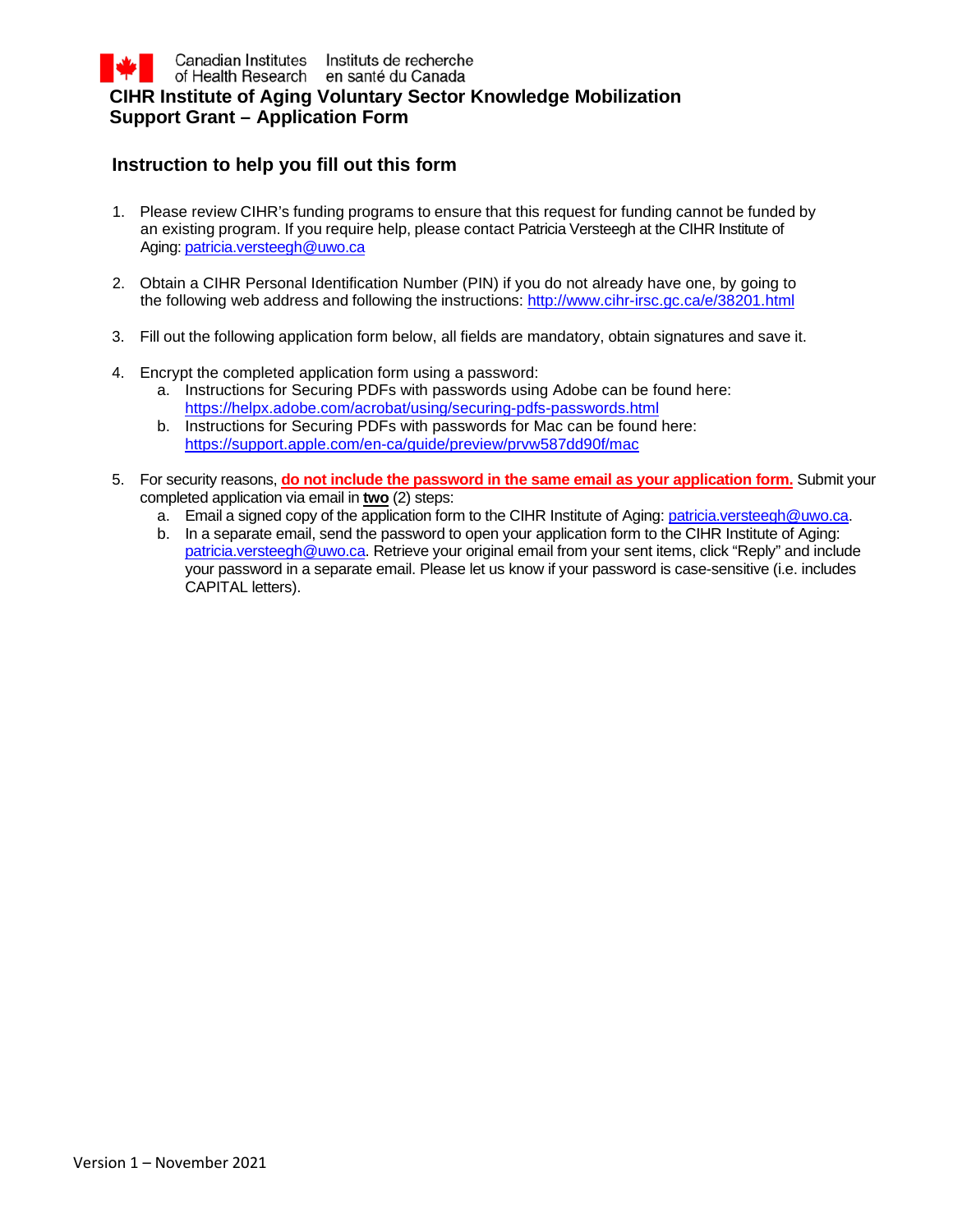# **Instruction to help you fill out this form**

- 1. Please review CIHR's funding programs to ensure that this request for funding cannot be funded by an existing program. If you require help, please contact Patricia Versteegh at the CIHR Institute of Aging: [patricia.versteegh@uwo.ca](http://infonet.internal.cihr.ca/OTCSdav/nodes/18612758/susan.rogers%40criugm.qc.ca)
- 2. Obtain a CIHR Personal Identification Number (PIN) if you do not already have one, by going to the following web address and following the instructions:<http://www.cihr-irsc.gc.ca/e/38201.html>
- 3. Fill out the following application form below, all fields are mandatory, obtain signatures and save it.
- 4. Encrypt the completed application form using a password:
	- a. Instructions for Securing PDFs with passwords using Adobe can be found here: <https://helpx.adobe.com/acrobat/using/securing-pdfs-passwords.html>
	- b. Instructions for Securing PDFs with passwords for Mac can be found here: <https://support.apple.com/en-ca/guide/preview/prvw587dd90f/mac>
- 5. For security reasons, **do not include the password in the same email as your application form.** Submit your completed application via email in **two** (2) steps:
	- a. Email a signed copy of the application form to the CIHR Institute of Aging[: patricia.versteegh@uwo.ca.](mailto:patricia.versteegh@uwo.ca)
	- b. In a separate email, send the password to open your application form to the CIHR Institute of Aging: [patricia.versteegh@uwo.ca.](mailto:patricia.versteegh@uwo.ca) Retrieve your original email from your sent items, click "Reply" and include your password in a separate email. Please let us know if your password is case-sensitive (i.e. includes CAPITAL letters).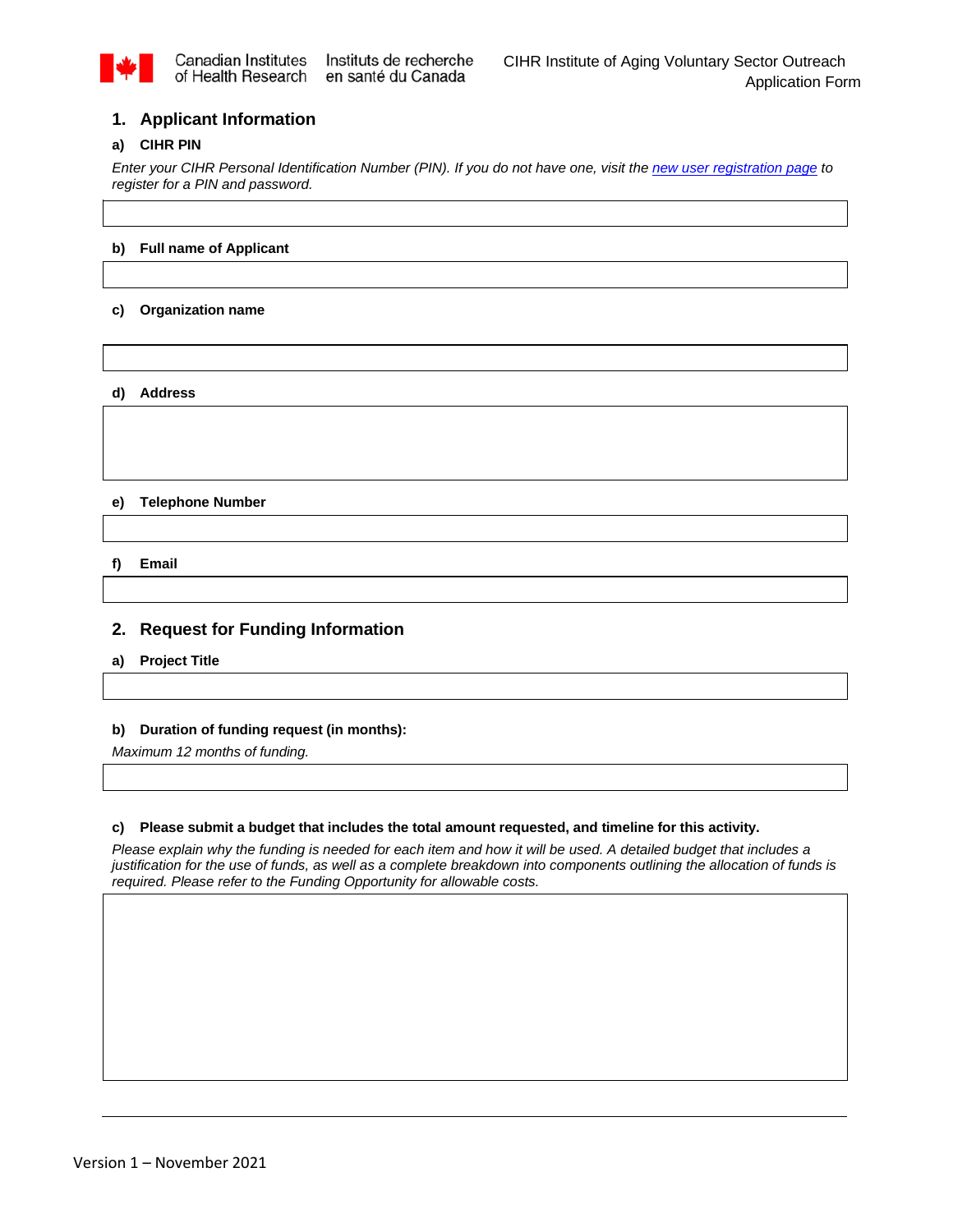

# **1. Applicant Information**

### **a) CIHR PIN**

*Enter your CIHR Personal Identification Number (PIN). If you do not have one, visit the [new user registration page](http://www.cihr-irsc.gc.ca/e/38201.html) to register for a PIN and password.* 

# **b) Full name of Applicant**

### **c) Organization name**

#### **d) Address**

#### **e) Telephone Number**

**f) Email**

# **2. Request for Funding Information**

**a) Project Title**

### **b) Duration of funding request (in months):**

*Maximum 12 months of funding.* 

### **c) Please submit a budget that includes the total amount requested, and timeline for this activity.**

*Please explain why the funding is needed for each item and how it will be used. A detailed budget that includes a justification for the use of funds, as well as a complete breakdown into components outlining the allocation of funds is required. Please refer to the Funding Opportunity for allowable costs.*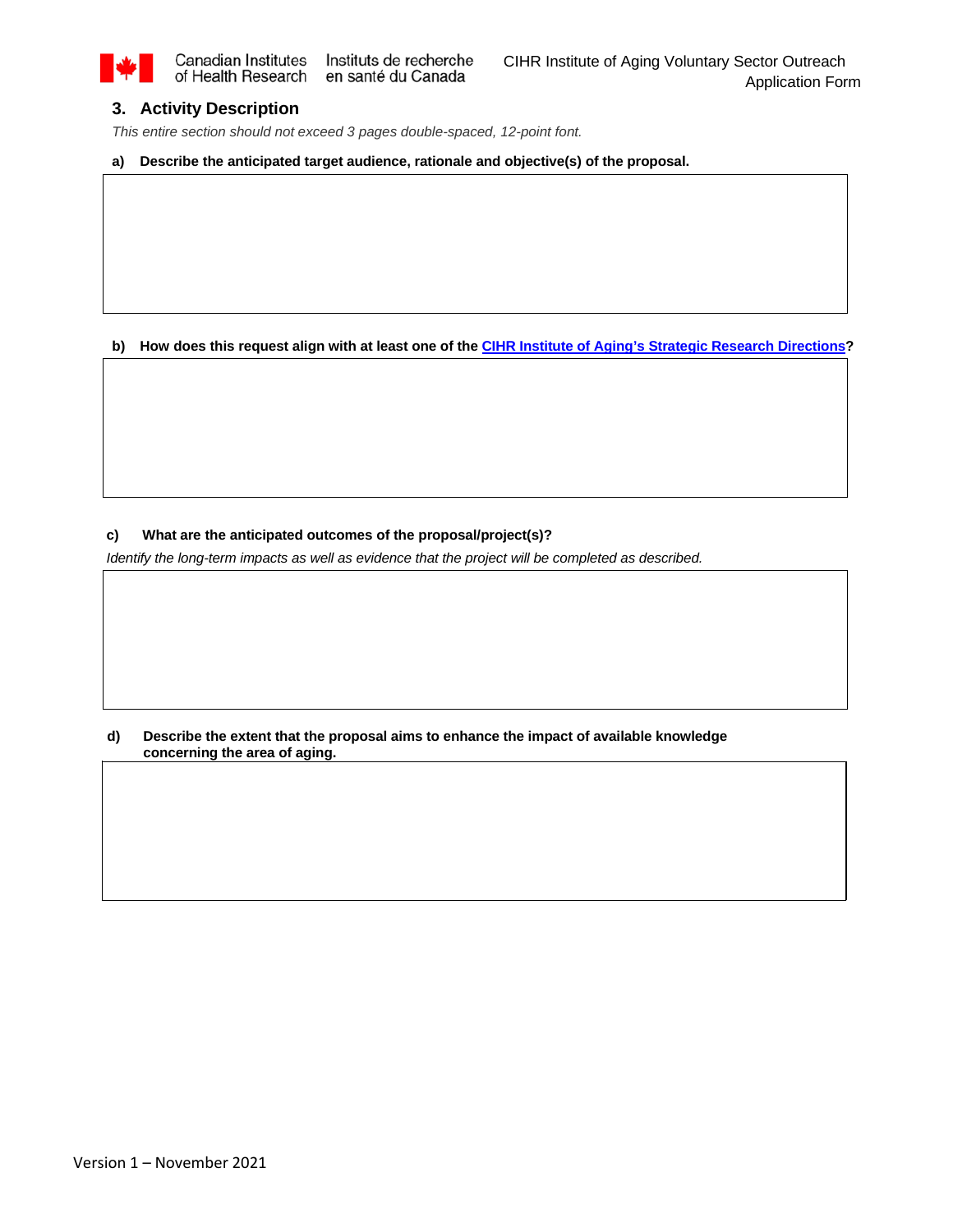

# **3. Activity Description**

*This entire section should not exceed 3 pages double-spaced, 12-point font.*

**a) Describe the anticipated target audience, rationale and objective(s) of the proposal.**

**b) How does this request align with at least one of th[e CIHR Institute of Aging's Strategic Research Directions?](http://www.cihr-irsc.gc.ca/e/51447.html#6_1)** 

### **c) What are the anticipated outcomes of the proposal/project(s)?**

*Identify the long-term impacts as well as evidence that the project will be completed as described.* 

**d) Describe the extent that the proposal aims to enhance the impact of available knowledge concerning the area of aging.**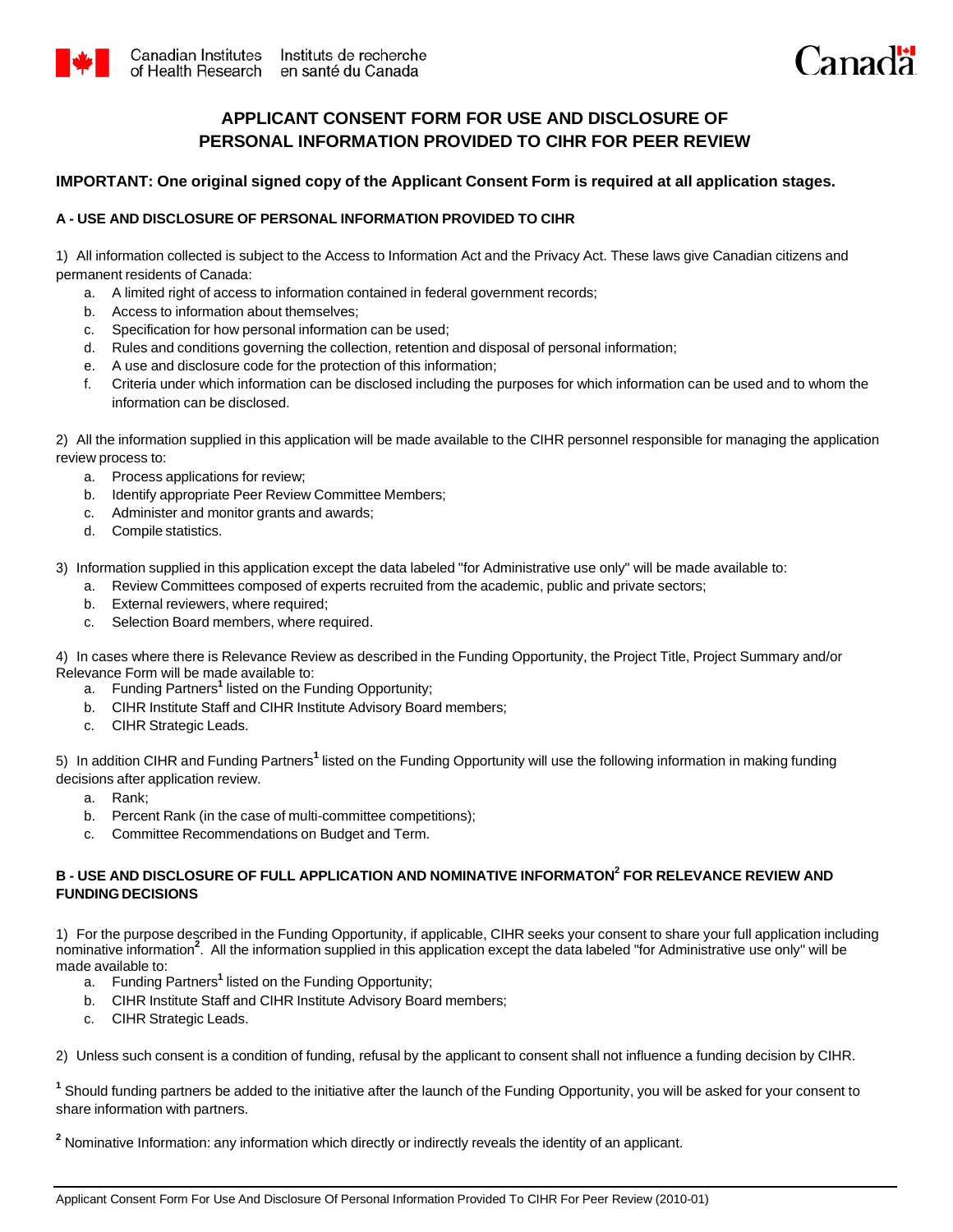



# **APPLICANT CONSENT FORM FOR USE AND DISCLOSURE OF PERSONAL INFORMATION PROVIDED TO CIHR FOR PEER REVIEW**

# **IMPORTANT: One original signed copy of the Applicant Consent Form is required at all application stages.**

# **A - USE AND DISCLOSURE OF PERSONAL INFORMATION PROVIDED TO CIHR**

1) All information collected is subject to the Access to Information Act and the Privacy Act. These laws give Canadian citizens and permanent residents of Canada:

- a. A limited right of access to information contained in federal government records;
- b. Access to information about themselves;
- c. Specification for how personal information can be used;
- d. Rules and conditions governing the collection, retention and disposal of personal information;
- e. A use and disclosure code for the protection of this information;
- f. Criteria under which information can be disclosed including the purposes for which information can be used and to whom the information can be disclosed.

2) All the information supplied in this application will be made available to the CIHR personnel responsible for managing the application review process to:

- a. Process applications for review;
- b. Identify appropriate Peer Review Committee Members;
- c. Administer and monitor grants and awards;
- d. Compile statistics.

3) Information supplied in this application except the data labeled "for Administrative use only" will be made available to:

- a. Review Committees composed of experts recruited from the academic, public and private sectors;
- b. External reviewers, where required;
- c. Selection Board members, where required.

4) In cases where there is Relevance Review as described in the Funding Opportunity, the Project Title, Project Summary and/or Relevance Form will be made available to:

- a. Funding Partners**<sup>1</sup>**listed on the Funding Opportunity;
- b. CIHR Institute Staff and CIHR Institute Advisory Board members;
- c. CIHR Strategic Leads.

5) In addition CIHR and Funding Partners**<sup>1</sup>**listed on the Funding Opportunity will use the following information in making funding decisions after application review.

- a. Rank;
- b. Percent Rank (in the case of multi-committee competitions);
- c. Committee Recommendations on Budget and Term.

## **B - USE AND DISCLOSURE OF FULL APPLICATION AND NOMINATIVE INFORMATON<sup>2</sup>FOR RELEVANCE REVIEW AND FUNDING DECISIONS**

1) For the purpose described in the Funding Opportunity, if applicable, CIHR seeks your consent to share your full application including nominative information**<sup>2</sup>** . All the information supplied in this application except the data labeled "for Administrative use only" will be made available to:

- a. Funding Partners**<sup>1</sup>**listed on the Funding Opportunity;
- b. CIHR Institute Staff and CIHR Institute Advisory Board members;
- c. CIHR Strategic Leads.

2) Unless such consent is a condition of funding, refusal by the applicant to consent shall not influence a funding decision by CIHR.

**<sup>1</sup>**Should funding partners be added to the initiative after the launch of the Funding Opportunity, you will be asked for your consent to share information with partners.

<sup>2</sup> Nominative Information: any information which directly or indirectly reveals the identity of an applicant.